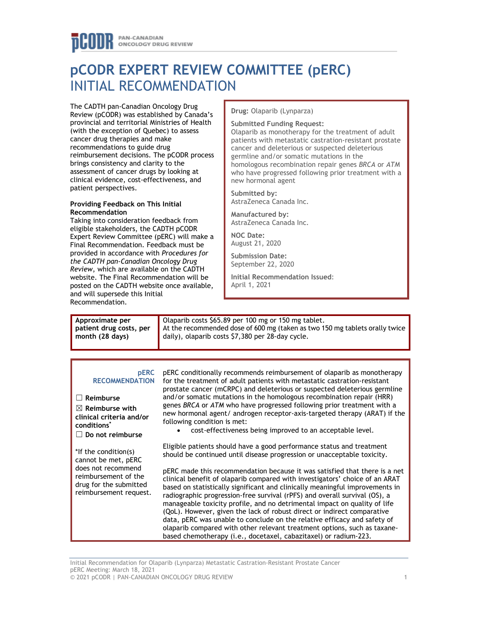# PAN-CANADIAN **ONCOLOGY DRUG REVIEW**

# **pCODR EXPERT REVIEW COMMITTEE (pERC)** INITIAL RECOMMENDATION

The CADTH pan-Canadian Oncology Drug Review (pCODR) was established by Canada's provincial and territorial Ministries of Health (with the exception of Quebec) to assess cancer drug therapies and make recommendations to guide drug reimbursement decisions. The pCODR process brings consistency and clarity to the assessment of cancer drugs by looking at clinical evidence, cost-effectiveness, and patient perspectives.

### **Providing Feedback on This Initial Recommendation**

Taking into consideration feedback from eligible stakeholders, the CADTH pCODR Expert Review Committee (pERC) will make a Final Recommendation. Feedback must be provided in accordance with *Procedures for the CADTH pan-Canadian Oncology Drug Review*, which are available on the CADTH website. The Final Recommendation will be posted on the CADTH website once available, and will supersede this Initial Recommendation.

**Drug:** Olaparib (Lynparza)

## **Submitted Funding Request:**

Olaparib as monotherapy for the treatment of adult patients with metastatic castration-resistant prostate cancer and deleterious or suspected deleterious germline and/or somatic mutations in the homologous recombination repair genes *BRCA* or *ATM* who have progressed following prior treatment with a new hormonal agent

**Submitted by:** AstraZeneca Canada Inc.

**Manufactured by:** AstraZeneca Canada Inc.

**NOC Date:** August 21, 2020

**Submission Date:** September 22, 2020

**Initial Recommendation Issued**: April 1, 2021

| Approximate per<br>patient drug costs, per<br>month (28 days)                                                                          | Olaparib costs \$65.89 per 100 mg or 150 mg tablet.<br>At the recommended dose of 600 mg (taken as two 150 mg tablets orally twice<br>daily), olaparib costs \$7,380 per 28-day cycle.                                                                                                                                                                                                                                                                                                                                                                      |
|----------------------------------------------------------------------------------------------------------------------------------------|-------------------------------------------------------------------------------------------------------------------------------------------------------------------------------------------------------------------------------------------------------------------------------------------------------------------------------------------------------------------------------------------------------------------------------------------------------------------------------------------------------------------------------------------------------------|
|                                                                                                                                        |                                                                                                                                                                                                                                                                                                                                                                                                                                                                                                                                                             |
| <b>pERC</b><br><b>RECOMMENDATION</b><br>Reimburse<br>$\boxtimes$ Reimburse with<br>clinical criteria and/or<br>conditions <sup>*</sup> | pERC conditionally recommends reimbursement of olaparib as monotherapy<br>for the treatment of adult patients with metastatic castration-resistant<br>prostate cancer (mCRPC) and deleterious or suspected deleterious germline<br>and/or somatic mutations in the homologous recombination repair (HRR)<br>genes BRCA or ATM who have progressed following prior treatment with a<br>new hormonal agent/ androgen receptor-axis-targeted therapy (ARAT) if the<br>following condition is met:<br>cost-effectiveness being improved to an acceptable level. |

☐ **Do not reimburse**

\*If the condition(s) cannot be met, pERC does not recommend reimbursement of the drug for the submitted reimbursement request. • cost-effectiveness being improved to an acceptable level.

Eligible patients should have a good performance status and treatment should be continued until disease progression or unacceptable toxicity.

pERC made this recommendation because it was satisfied that there is a net clinical benefit of olaparib compared with investigators' choice of an ARAT based on statistically significant and clinically meaningful improvements in radiographic progression-free survival (rPFS) and overall survival (OS), a manageable toxicity profile, and no detrimental impact on quality of life (QoL). However, given the lack of robust direct or indirect comparative data, pERC was unable to conclude on the relative efficacy and safety of olaparib compared with other relevant treatment options, such as taxanebased chemotherapy (i.e., docetaxel, cabazitaxel) or radium-223.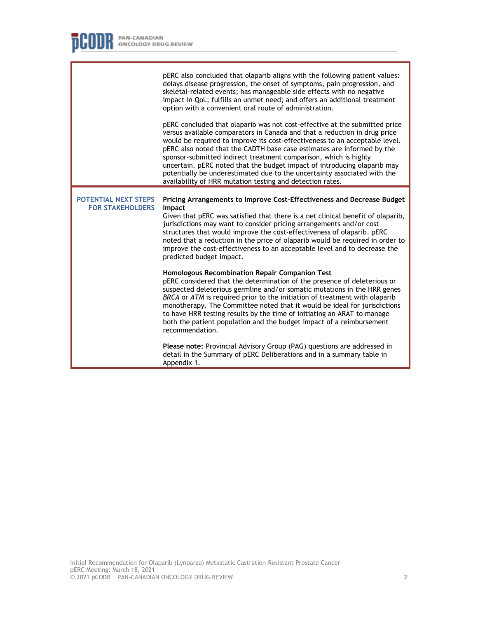F

|                                                 | pERC also concluded that olaparib aligns with the following patient values:<br>delays disease progression, the onset of symptoms, pain progression, and<br>skeletal-related events; has manageable side effects with no negative<br>impact in QoL; fulfills an unmet need; and offers an additional treatment<br>option with a convenient oral route of administration.                                                                                                                                                                                                                                   |
|-------------------------------------------------|-----------------------------------------------------------------------------------------------------------------------------------------------------------------------------------------------------------------------------------------------------------------------------------------------------------------------------------------------------------------------------------------------------------------------------------------------------------------------------------------------------------------------------------------------------------------------------------------------------------|
|                                                 | pERC concluded that olaparib was not cost-effective at the submitted price<br>versus available comparators in Canada and that a reduction in drug price<br>would be required to improve its cost-effectiveness to an acceptable level.<br>pERC also noted that the CADTH base case estimates are informed by the<br>sponsor-submitted indirect treatment comparison, which is highly<br>uncertain. pERC noted that the budget impact of introducing olaparib may<br>potentially be underestimated due to the uncertainty associated with the<br>availability of HRR mutation testing and detection rates. |
| POTENTIAL NEXT STEPS<br><b>FOR STAKEHOLDERS</b> | Pricing Arrangements to Improve Cost-Effectiveness and Decrease Budget<br>Impact<br>Given that pERC was satisfied that there is a net clinical benefit of olaparib,<br>jurisdictions may want to consider pricing arrangements and/or cost<br>structures that would improve the cost-effectiveness of olaparib. pERC<br>noted that a reduction in the price of olaparib would be required in order to<br>improve the cost-effectiveness to an acceptable level and to decrease the<br>predicted budget impact.                                                                                            |
|                                                 | Homologous Recombination Repair Companion Test<br>pERC considered that the determination of the presence of deleterious or<br>suspected deleterious germline and/or somatic mutations in the HRR genes<br>BRCA or ATM is required prior to the initiation of treatment with olaparib<br>monotherapy. The Committee noted that it would be ideal for jurisdictions<br>to have HRR testing results by the time of initiating an ARAT to manage<br>both the patient population and the budget impact of a reimbursement<br>recommendation.                                                                   |
|                                                 | Please note: Provincial Advisory Group (PAG) questions are addressed in<br>detail in the Summary of pERC Deliberations and in a summary table in<br>Appendix 1.                                                                                                                                                                                                                                                                                                                                                                                                                                           |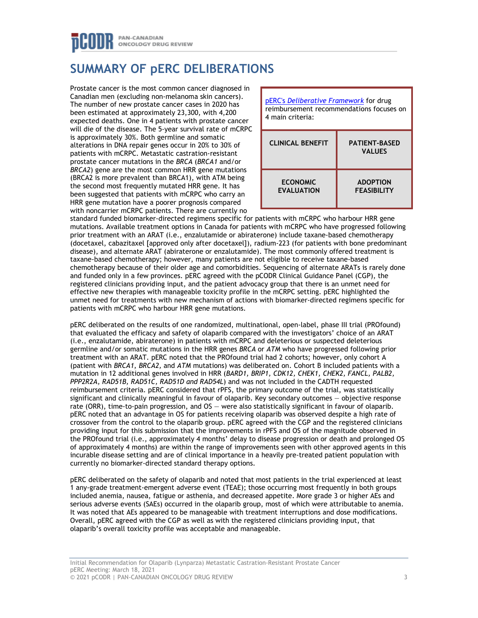# **SUMMARY OF pERC DELIBERATIONS**

Prostate cancer is the most common cancer diagnosed in Canadian men (excluding non-melanoma skin cancers). The number of new prostate cancer cases in 2020 has been estimated at approximately 23,300, with 4,200 expected deaths. One in 4 patients with prostate cancer will die of the disease. The 5-year survival rate of mCRPC is approximately 30%. Both germline and somatic alterations in DNA repair genes occur in 20% to 30% of patients with mCRPC. Metastatic castration-resistant prostate cancer mutations in the *BRCA* (*BRCA1* and/or *BRCA2*) gene are the most common HRR gene mutations (BRCA2 is more prevalent than BRCA1), with ATM being the second most frequently mutated HRR gene. It has been suggested that patients with mCRPC who carry an HRR gene mutation have a poorer prognosis compared with noncarrier mCRPC patients. There are currently no



standard funded biomarker-directed regimens specific for patients with mCRPC who harbour HRR gene mutations. Available treatment options in Canada for patients with mCRPC who have progressed following prior treatment with an ARAT (i.e., enzalutamide or abiraterone) include taxane-based chemotherapy (docetaxel, cabazitaxel [approved only after docetaxel]), radium-223 (for patients with bone predominant disease), and alternate ARAT (abiraterone or enzalutamide). The most commonly offered treatment is taxane-based chemotherapy; however, many patients are not eligible to receive taxane-based chemotherapy because of their older age and comorbidities. Sequencing of alternate ARATs is rarely done and funded only in a few provinces. pERC agreed with the pCODR Clinical Guidance Panel (CGP), the registered clinicians providing input, and the patient advocacy group that there is an unmet need for effective new therapies with manageable toxicity profile in the mCRPC setting. pERC highlighted the unmet need for treatments with new mechanism of actions with biomarker-directed regimens specific for patients with mCRPC who harbour HRR gene mutations.

pERC deliberated on the results of one randomized, multinational, open-label, phase III trial (PROfound) that evaluated the efficacy and safety of olaparib compared with the investigators' choice of an ARAT (i.e., enzalutamide, abiraterone) in patients with mCRPC and deleterious or suspected deleterious germline and/or somatic mutations in the HRR genes *BRCA* or *ATM* who have progressed following prior treatment with an ARAT. pERC noted that the PROfound trial had 2 cohorts; however, only cohort A (patient with *BRCA1*, *BRCA2,* and *ATM* mutations) was deliberated on. Cohort B included patients with a mutation in 12 additional genes involved in HRR (*BARD1, BRIP1, CDK12, CHEK1, CHEK2, FANCL, PALB2, PPP2R2A, RAD51B, RAD51C, RAD51D and RAD54L*) and was not included in the CADTH requested reimbursement criteria. pERC considered that rPFS, the primary outcome of the trial, was statistically significant and clinically meaningful in favour of olaparib. Key secondary outcomes — objective response rate (ORR), time-to-pain progression, and OS — were also statistically significant in favour of olaparib. pERC noted that an advantage in OS for patients receiving olaparib was observed despite a high rate of crossover from the control to the olaparib group. pERC agreed with the CGP and the registered clinicians providing input for this submission that the improvements in rPFS and OS of the magnitude observed in the PROfound trial (i.e., approximately 4 months' delay to disease progression or death and prolonged OS of approximately 4 months) are within the range of improvements seen with other approved agents in this incurable disease setting and are of clinical importance in a heavily pre-treated patient population with currently no biomarker-directed standard therapy options.

pERC deliberated on the safety of olaparib and noted that most patients in the trial experienced at least 1 any-grade treatment-emergent adverse event (TEAE); those occurring most frequently in both groups included anemia, nausea, fatigue or asthenia, and decreased appetite. More grade 3 or higher AEs and serious adverse events (SAEs) occurred in the olaparib group, most of which were attributable to anemia. It was noted that AEs appeared to be manageable with treatment interruptions and dose modifications. Overall, pERC agreed with the CGP as well as with the registered clinicians providing input, that olaparib's overall toxicity profile was acceptable and manageable.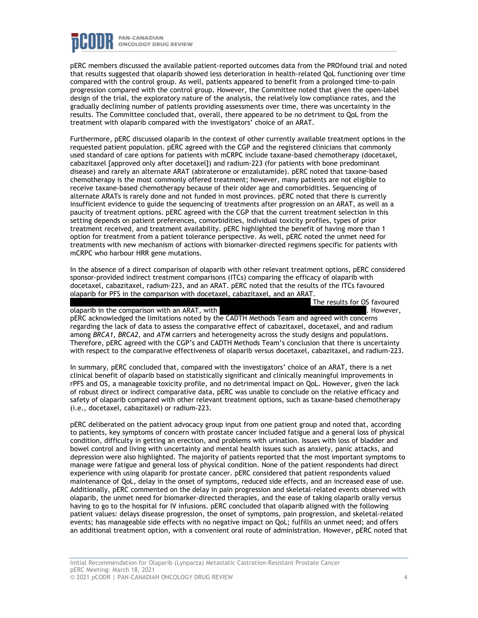

pERC members discussed the available patient-reported outcomes data from the PROfound trial and noted that results suggested that olaparib showed less deterioration in health-related QoL functioning over time compared with the control group. As well, patients appeared to benefit from a prolonged time-to-pain progression compared with the control group. However, the Committee noted that given the open-label design of the trial, the exploratory nature of the analysis, the relatively low compliance rates, and the gradually declining number of patients providing assessments over time, there was uncertainty in the results. The Committee concluded that, overall, there appeared to be no detriment to QoL from the treatment with olaparib compared with the investigators' choice of an ARAT.

Furthermore, pERC discussed olaparib in the context of other currently available treatment options in the requested patient population. pERC agreed with the CGP and the registered clinicians that commonly used standard of care options for patients with mCRPC include taxane-based chemotherapy (docetaxel, cabazitaxel [approved only after docetaxel]) and radium-223 (for patients with bone predominant disease) and rarely an alternate ARAT (abiraterone or enzalutamide). pERC noted that taxane-based chemotherapy is the most commonly offered treatment; however, many patients are not eligible to receive taxane-based chemotherapy because of their older age and comorbidities. Sequencing of alternate ARATs is rarely done and not funded in most provinces. pERC noted that there is currently insufficient evidence to guide the sequencing of treatments after progression on an ARAT, as well as a paucity of treatment options. pERC agreed with the CGP that the current treatment selection in this setting depends on patient preferences, comorbidities, individual toxicity profiles, types of prior treatment received, and treatment availability. pERC highlighted the benefit of having more than 1 option for treatment from a patient tolerance perspective. As well, pERC noted the unmet need for treatments with new mechanism of actions with biomarker-directed regimens specific for patients with mCRPC who harbour HRR gene mutations.

In the absence of a direct comparison of olaparib with other relevant treatment options, pERC considered sponsor-provided indirect treatment comparisons (ITCs) comparing the efficacy of olaparib with docetaxel, cabazitaxel, radium-223, and an ARAT. pERC noted that the results of the ITCs favoured olaparib for PFS in the comparison with docetaxel, cabazitaxel, and an ARAT. The results for OS favoured

olaparib in the comparison with an ARAT, with . However, pERC acknowledged the limitations noted by the CADTH Methods Team and agreed with concerns regarding the lack of data to assess the comparative effect of cabazitaxel, docetaxel, and and radium among *BRCA1*, *BRCA2*, and *ATM* carriers and heterogeneity across the study designs and populations. Therefore, pERC agreed with the CGP's and CADTH Methods Team's conclusion that there is uncertainty with respect to the comparative effectiveness of olaparib versus docetaxel, cabazitaxel, and radium-223.

In summary, pERC concluded that, compared with the investigators' choice of an ARAT, there is a net clinical benefit of olaparib based on statistically significant and clinically meaningful improvements in rPFS and OS, a manageable toxicity profile, and no detrimental impact on QoL. However, given the lack of robust direct or indirect comparative data, pERC was unable to conclude on the relative efficacy and safety of olaparib compared with other relevant treatment options, such as taxane-based chemotherapy (i.e., docetaxel, cabazitaxel) or radium-223.

pERC deliberated on the patient advocacy group input from one patient group and noted that, according to patients, key symptoms of concern with prostate cancer included fatigue and a general loss of physical condition, difficulty in getting an erection, and problems with urination. Issues with loss of bladder and bowel control and living with uncertainty and mental health issues such as anxiety, panic attacks, and depression were also highlighted. The majority of patients reported that the most important symptoms to manage were fatigue and general loss of physical condition. None of the patient respondents had direct experience with using olaparib for prostate cancer. pERC considered that patient respondents valued maintenance of QoL, delay in the onset of symptoms, reduced side effects, and an increased ease of use. Additionally, pERC commented on the delay in pain progression and skeletal-related events observed with olaparib, the unmet need for biomarker-directed therapies, and the ease of taking olaparib orally versus having to go to the hospital for IV infusions. pERC concluded that olaparib aligned with the following patient values: delays disease progression, the onset of symptoms, pain progression, and skeletal-related events; has manageable side effects with no negative impact on QoL; fulfills an unmet need; and offers an additional treatment option, with a convenient oral route of administration. However, pERC noted that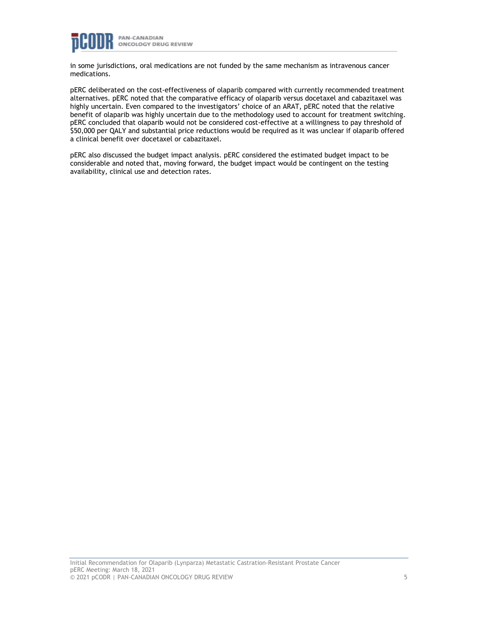

in some jurisdictions, oral medications are not funded by the same mechanism as intravenous cancer medications.

pERC deliberated on the cost-effectiveness of olaparib compared with currently recommended treatment alternatives. pERC noted that the comparative efficacy of olaparib versus docetaxel and cabazitaxel was highly uncertain. Even compared to the investigators' choice of an ARAT, pERC noted that the relative benefit of olaparib was highly uncertain due to the methodology used to account for treatment switching. pERC concluded that olaparib would not be considered cost-effective at a willingness to pay threshold of \$50,000 per QALY and substantial price reductions would be required as it was unclear if olaparib offered a clinical benefit over docetaxel or cabazitaxel.

pERC also discussed the budget impact analysis. pERC considered the estimated budget impact to be considerable and noted that, moving forward, the budget impact would be contingent on the testing availability, clinical use and detection rates.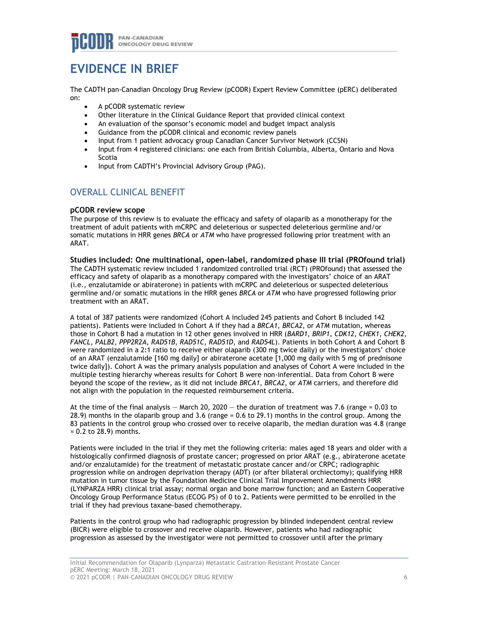# **EVIDENCE IN BRIEF**

The CADTH pan-Canadian Oncology Drug Review (pCODR) Expert Review Committee (pERC) deliberated on:

- A pCODR systematic review
- Other literature in the Clinical Guidance Report that provided clinical context
- An evaluation of the sponsor's economic model and budget impact analysis
- Guidance from the pCODR clinical and economic review panels
- Input from 1 patient advocacy group Canadian Cancer Survivor Network (CCSN)
- Input from 4 registered clinicians: one each from British Columbia, Alberta, Ontario and Nova Scotia
- Input from CADTH's Provincial Advisory Group (PAG).

# OVERALL CLINICAL BENEFIT

# **pCODR review scope**

The purpose of this review is to evaluate the efficacy and safety of olaparib as a monotherapy for the treatment of adult patients with mCRPC and deleterious or suspected deleterious germline and/or somatic mutations in HRR genes *BRCA* or *ATM* who have progressed following prior treatment with an ARAT.

**Studies included: One multinational, open-label, randomized phase III trial (PROfound trial)** The CADTH systematic review included 1 randomized controlled trial (RCT) (PROfound) that assessed the efficacy and safety of olaparib as a monotherapy compared with the investigators' choice of an ARAT (i.e., enzalutamide or abiraterone) in patients with mCRPC and deleterious or suspected deleterious germline and/or somatic mutations in the HRR genes *BRCA* or *ATM* who have progressed following prior treatment with an ARAT.

A total of 387 patients were randomized (Cohort A included 245 patients and Cohort B included 142 patients). Patients were included in Cohort A if they had a *BRCA1*, *BRCA2*, or *ATM* mutation, whereas those in Cohort B had a mutation in 12 other genes involved in HRR (*BARD1*, *BRIP1*, *CDK12*, *CHEK1*, *CHEK2*, *FANCL*, *PALB2*, *PPP2R2A*, *RAD51B*, *RAD51C*, *RAD51D*, and *RAD54L*). Patients in both Cohort A and Cohort B were randomized in a 2:1 ratio to receive either olaparib (300 mg twice daily) or the investigators' choice of an ARAT (enzalutamide [160 mg daily] or abiraterone acetate [1,000 mg daily with 5 mg of prednisone twice daily]). Cohort A was the primary analysis population and analyses of Cohort A were included in the multiple testing hierarchy whereas results for Cohort B were non-inferential. Data from Cohort B were beyond the scope of the review, as it did not include *BRCA1*, *BRCA2*, or *ATM* carriers, and therefore did not align with the population in the requested reimbursement criteria.

At the time of the final analysis  $-$  March 20, 2020  $-$  the duration of treatment was 7.6 (range = 0.03 to 28.9) months in the olaparib group and 3.6 (range = 0.6 to 29.1) months in the control group. Among the 83 patients in the control group who crossed over to receive olaparib, the median duration was 4.8 (range = 0.2 to 28.9) months.

Patients were included in the trial if they met the following criteria: males aged 18 years and older with a histologically confirmed diagnosis of prostate cancer; progressed on prior ARAT (e.g., abiraterone acetate and/or enzalutamide) for the treatment of metastatic prostate cancer and/or CRPC; radiographic progression while on androgen deprivation therapy (ADT) (or after bilateral orchiectomy); qualifying HRR mutation in tumor tissue by the Foundation Medicine Clinical Trial Improvement Amendments HRR (LYNPARZA HRR) clinical trial assay; normal organ and bone marrow function; and an Eastern Cooperative Oncology Group Performance Status (ECOG PS) of 0 to 2. Patients were permitted to be enrolled in the trial if they had previous taxane-based chemotherapy.

Patients in the control group who had radiographic progression by blinded independent central review (BICR) were eligible to crossover and receive olaparib. However, patients who had radiographic progression as assessed by the investigator were not permitted to crossover until after the primary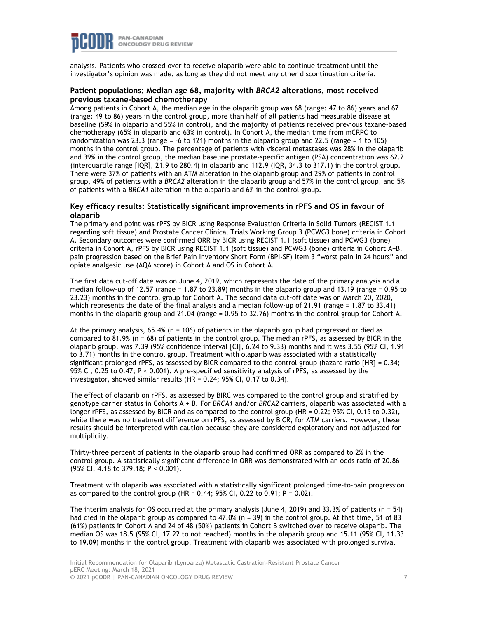

analysis. Patients who crossed over to receive olaparib were able to continue treatment until the investigator's opinion was made, as long as they did not meet any other discontinuation criteria.

## **Patient populations: Median age 68, majority with** *BRCA2* **alterations, most received previous taxane-based chemotherapy**

Among patients in Cohort A, the median age in the olaparib group was 68 (range: 47 to 86) years and 67 (range: 49 to 86) years in the control group, more than half of all patients had measurable disease at baseline (59% in olaparib and 55% in control), and the majority of patients received previous taxane-based chemotherapy (65% in olaparib and 63% in control). In Cohort A, the median time from mCRPC to randomization was 23.3 (range = –6 to 121) months in the olaparib group and 22.5 (range = 1 to 105) months in the control group. The percentage of patients with visceral metastases was 28% in the olaparib and 39% in the control group, the median baseline prostate-specific antigen (PSA) concentration was 62.2 (interquartile range [IQR], 21.9 to 280.4) in olaparib and 112.9 (IQR, 34.3 to 317.1) in the control group. There were 37% of patients with an ATM alteration in the olaparib group and 29% of patients in control group, 49% of patients with a *BRCA2* alteration in the olaparib group and 57% in the control group, and 5% of patients with a *BRCA1* alteration in the olaparib and 6% in the control group.

### **Key efficacy results: Statistically significant improvements in rPFS and OS in favour of olaparib**

The primary end point was rPFS by BICR using Response Evaluation Criteria in Solid Tumors (RECIST 1.1 regarding soft tissue) and Prostate Cancer Clinical Trials Working Group 3 (PCWG3 bone) criteria in Cohort A. Secondary outcomes were confirmed ORR by BICR using RECIST 1.1 (soft tissue) and PCWG3 (bone) criteria in Cohort A, rPFS by BICR using RECIST 1.1 (soft tissue) and PCWG3 (bone) criteria in Cohort A+B, pain progression based on the Brief Pain Inventory Short Form (BPI-SF) item 3 "worst pain in 24 hours" and opiate analgesic use (AQA score) in Cohort A and OS in Cohort A.

The first data cut-off date was on June 4, 2019, which represents the date of the primary analysis and a median follow-up of 12.57 (range = 1.87 to 23.89) months in the olaparib group and 13.19 (range = 0.95 to 23.23) months in the control group for Cohort A. The second data cut-off date was on March 20, 2020, which represents the date of the final analysis and a median follow-up of 21.91 (range = 1.87 to 33.41) months in the olaparib group and 21.04 (range = 0.95 to 32.76) months in the control group for Cohort A.

At the primary analysis,  $65.4\%$  (n = 106) of patients in the olaparib group had progressed or died as compared to 81.9% (n = 68) of patients in the control group. The median rPFS, as assessed by BICR in the olaparib group, was 7.39 (95% confidence interval [CI], 6.24 to 9.33) months and it was 3.55 (95% CI, 1.91 to 3.71) months in the control group. Treatment with olaparib was associated with a statistically significant prolonged rPFS, as assessed by BICR compared to the control group (hazard ratio [HR] = 0.34; 95% CI, 0.25 to 0.47; P < 0.001). A pre-specified sensitivity analysis of rPFS, as assessed by the investigator, showed similar results  $(HR = 0.24; 95\%$  CI, 0.17 to 0.34).

The effect of olaparib on rPFS, as assessed by BIRC was compared to the control group and stratified by genotype carrier status in Cohorts A + B. For *BRCA1* and/or *BRCA2* carriers, olaparib was associated with a longer rPFS, as assessed by BICR and as compared to the control group (HR = 0.22; 95% CI, 0.15 to 0.32), while there was no treatment difference on rPFS, as assessed by BICR, for ATM carriers. However, these results should be interpreted with caution because they are considered exploratory and not adjusted for multiplicity.

Thirty-three percent of patients in the olaparib group had confirmed ORR as compared to 2% in the control group. A statistically significant difference in ORR was demonstrated with an odds ratio of 20.86 (95% CI, 4.18 to 379.18; P < 0.001).

Treatment with olaparib was associated with a statistically significant prolonged time-to-pain progression as compared to the control group (HR =  $0.44$ ;  $95\%$  CI,  $0.22$  to  $0.91$ ; P =  $0.02$ ).

The interim analysis for OS occurred at the primary analysis (June 4, 2019) and 33.3% of patients (n = 54) had died in the olaparib group as compared to 47.0% (n = 39) in the control group. At that time, 51 of 83 (61%) patients in Cohort A and 24 of 48 (50%) patients in Cohort B switched over to receive olaparib. The median OS was 18.5 (95% CI, 17.22 to not reached) months in the olaparib group and 15.11 (95% CI, 11.33 to 19.09) months in the control group. Treatment with olaparib was associated with prolonged survival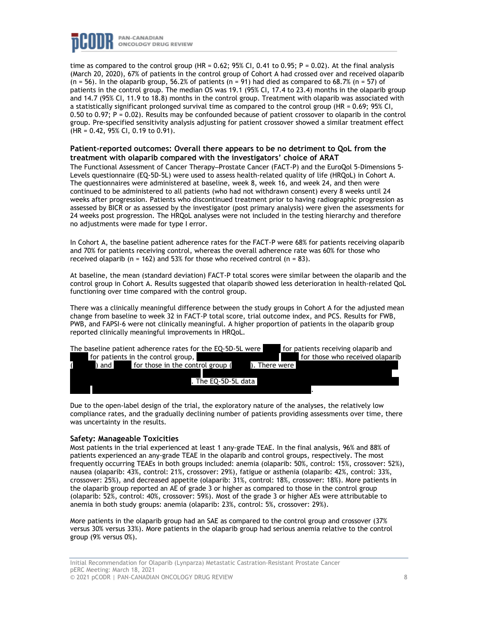

time as compared to the control group (HR =  $0.62$ ; 95% CI, 0.41 to 0.95; P = 0.02). At the final analysis (March 20, 2020), 67% of patients in the control group of Cohort A had crossed over and received olaparib  $(n = 56)$ . In the olaparib group, 56.2% of patients  $(n = 91)$  had died as compared to 68.7%  $(n = 57)$  of patients in the control group. The median OS was 19.1 (95% CI, 17.4 to 23.4) months in the olaparib group and 14.7 (95% CI, 11.9 to 18.8) months in the control group. Treatment with olaparib was associated with a statistically significant prolonged survival time as compared to the control group (HR = 0.69; 95% CI, 0.50 to 0.97; P = 0.02). Results may be confounded because of patient crossover to olaparib in the control group. Pre-specified sensitivity analysis adjusting for patient crossover showed a similar treatment effect (HR = 0.42, 95% CI, 0.19 to 0.91).

## **Patient-reported outcomes: Overall there appears to be no detriment to QoL from the treatment with olaparib compared with the investigators' choice of ARAT**

The Functional Assessment of Cancer Therapy–Prostate Cancer (FACT-P) and the EuroQol 5-Dimensions 5-Levels questionnaire (EQ-5D-5L) were used to assess health-related quality of life (HRQoL) in Cohort A. The questionnaires were administered at baseline, week 8, week 16, and week 24, and then were continued to be administered to all patients (who had not withdrawn consent) every 8 weeks until 24 weeks after progression. Patients who discontinued treatment prior to having radiographic progression as assessed by BICR or as assessed by the investigator (post primary analysis) were given the assessments for 24 weeks post progression. The HRQoL analyses were not included in the testing hierarchy and therefore no adjustments were made for type I error.

In Cohort A, the baseline patient adherence rates for the FACT-P were 68% for patients receiving olaparib and 70% for patients receiving control, whereas the overall adherence rate was 60% for those who received olaparib ( $n = 162$ ) and 53% for those who received control ( $n = 83$ ).

At baseline, the mean (standard deviation) FACT-P total scores were similar between the olaparib and the control group in Cohort A. Results suggested that olaparib showed less deterioration in health-related QoL functioning over time compared with the control group.

There was a clinically meaningful difference between the study groups in Cohort A for the adjusted mean change from baseline to week 32 in FACT-P total score, trial outcome index, and PCS. Results for FWB, PWB, and FAPSI-6 were not clinically meaningful. A higher proportion of patients in the olaparib group reported clinically meaningful improvements in HRQoL.



Due to the open-label design of the trial, the exploratory nature of the analyses, the relatively low compliance rates, and the gradually declining number of patients providing assessments over time, there was uncertainty in the results.

### **Safety: Manageable Toxicities**

Most patients in the trial experienced at least 1 any-grade TEAE. In the final analysis, 96% and 88% of patients experienced an any-grade TEAE in the olaparib and control groups, respectively. The most frequently occurring TEAEs in both groups included: anemia (olaparib: 50%, control: 15%, crossover: 52%), nausea (olaparib: 43%, control: 21%, crossover: 29%), fatigue or asthenia (olaparib: 42%, control: 33%, crossover: 25%), and decreased appetite (olaparib: 31%, control: 18%, crossover: 18%). More patients in the olaparib group reported an AE of grade 3 or higher as compared to those in the control group (olaparib: 52%, control: 40%, crossover: 59%). Most of the grade 3 or higher AEs were attributable to anemia in both study groups: anemia (olaparib: 23%, control: 5%, crossover: 29%).

More patients in the olaparib group had an SAE as compared to the control group and crossover (37% versus 30% versus 33%). More patients in the olaparib group had serious anemia relative to the control group (9% versus 0%).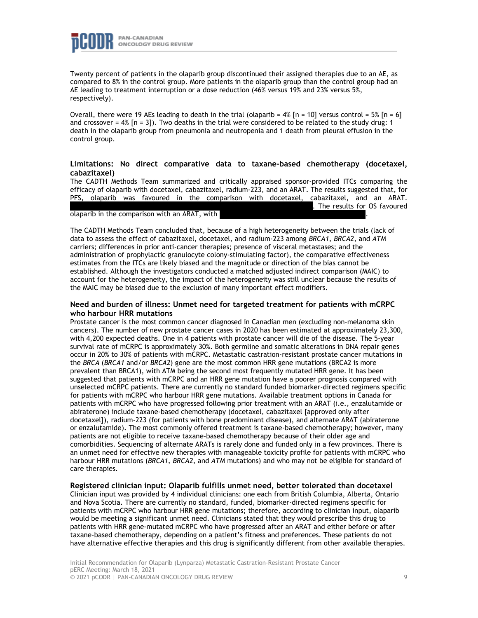

Twenty percent of patients in the olaparib group discontinued their assigned therapies due to an AE, as compared to 8% in the control group. More patients in the olaparib group than the control group had an AE leading to treatment interruption or a dose reduction (46% versus 19% and 23% versus 5%, respectively).

Overall, there were 19 AEs leading to death in the trial (olaparib =  $4\%$  [n = 10] versus control = 5% [n = 6] and crossover =  $4\%$  [n = 3]). Two deaths in the trial were considered to be related to the study drug: 1 death in the olaparib group from pneumonia and neutropenia and 1 death from pleural effusion in the control group.

## **Limitations: No direct comparative data to taxane-based chemotherapy (docetaxel, cabazitaxel)**

The CADTH Methods Team summarized and critically appraised sponsor-provided ITCs comparing the efficacy of olaparib with docetaxel, cabazitaxel, radium-223, and an ARAT. The results suggested that, for PFS, olaparib was favoured in the comparison with docetaxel, cabazitaxel, and an ARAT. The results for OS favoured

olaparib in the comparison with an ARAT, with

The CADTH Methods Team concluded that, because of a high heterogeneity between the trials (lack of data to assess the effect of cabazitaxel, docetaxel, and radium-223 among *BRCA1*, *BRCA2*, and *ATM* carriers; differences in prior anti-cancer therapies; presence of visceral metastases; and the administration of prophylactic granulocyte colony-stimulating factor), the comparative effectiveness estimates from the ITCs are likely biased and the magnitude or direction of the bias cannot be established. Although the investigators conducted a matched adjusted indirect comparison (MAIC) to account for the heterogeneity, the impact of the heterogeneity was still unclear because the results of the MAIC may be biased due to the exclusion of many important effect modifiers.

## **Need and burden of illness: Unmet need for targeted treatment for patients with mCRPC who harbour HRR mutations**

Prostate cancer is the most common cancer diagnosed in Canadian men (excluding non-melanoma skin cancers). The number of new prostate cancer cases in 2020 has been estimated at approximately 23,300, with 4,200 expected deaths. One in 4 patients with prostate cancer will die of the disease. The 5-year survival rate of mCRPC is approximately 30%. Both germline and somatic alterations in DNA repair genes occur in 20% to 30% of patients with mCRPC. Metastatic castration-resistant prostate cancer mutations in the *BRCA* (*BRCA1* and/or *BRCA2*) gene are the most common HRR gene mutations (BRCA2 is more prevalent than BRCA1), with ATM being the second most frequently mutated HRR gene. It has been suggested that patients with mCRPC and an HRR gene mutation have a poorer prognosis compared with unselected mCRPC patients. There are currently no standard funded biomarker-directed regimens specific for patients with mCRPC who harbour HRR gene mutations. Available treatment options in Canada for patients with mCRPC who have progressed following prior treatment with an ARAT (i.e., enzalutamide or abiraterone) include taxane-based chemotherapy (docetaxel, cabazitaxel [approved only after docetaxel]), radium-223 (for patients with bone predominant disease), and alternate ARAT (abiraterone or enzalutamide). The most commonly offered treatment is taxane-based chemotherapy; however, many patients are not eligible to receive taxane-based chemotherapy because of their older age and comorbidities. Sequencing of alternate ARATs is rarely done and funded only in a few provinces. There is an unmet need for effective new therapies with manageable toxicity profile for patients with mCRPC who harbour HRR mutations (*BRCA1*, *BRCA2*, and *ATM* mutations) and who may not be eligible for standard of care therapies.

## **Registered clinician input: Olaparib fulfills unmet need, better tolerated than docetaxel**

Clinician input was provided by 4 individual clinicians: one each from British Columbia, Alberta, Ontario and Nova Scotia. There are currently no standard, funded, biomarker-directed regimens specific for patients with mCRPC who harbour HRR gene mutations; therefore, according to clinician input, olaparib would be meeting a significant unmet need. Clinicians stated that they would prescribe this drug to patients with HRR gene-mutated mCRPC who have progressed after an ARAT and either before or after taxane-based chemotherapy, depending on a patient's fitness and preferences. These patients do not have alternative effective therapies and this drug is significantly different from other available therapies.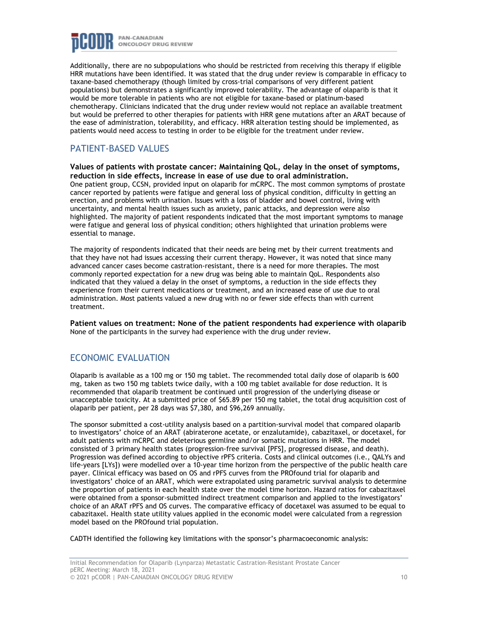

Additionally, there are no subpopulations who should be restricted from receiving this therapy if eligible HRR mutations have been identified. It was stated that the drug under review is comparable in efficacy to taxane-based chemotherapy (though limited by cross-trial comparisons of very different patient populations) but demonstrates a significantly improved tolerability. The advantage of olaparib is that it would be more tolerable in patients who are not eligible for taxane-based or platinum-based chemotherapy. Clinicians indicated that the drug under review would not replace an available treatment but would be preferred to other therapies for patients with HRR gene mutations after an ARAT because of the ease of administration, tolerability, and efficacy. HRR alteration testing should be implemented, as patients would need access to testing in order to be eligible for the treatment under review.

# PATIENT-BASED VALUES

**Values of patients with prostate cancer: Maintaining QoL, delay in the onset of symptoms, reduction in side effects, increase in ease of use due to oral administration.** One patient group, CCSN, provided input on olaparib for mCRPC. The most common symptoms of prostate cancer reported by patients were fatigue and general loss of physical condition, difficulty in getting an erection, and problems with urination. Issues with a loss of bladder and bowel control, living with uncertainty, and mental health issues such as anxiety, panic attacks, and depression were also highlighted. The majority of patient respondents indicated that the most important symptoms to manage were fatigue and general loss of physical condition; others highlighted that urination problems were essential to manage.

The majority of respondents indicated that their needs are being met by their current treatments and that they have not had issues accessing their current therapy. However, it was noted that since many advanced cancer cases become castration-resistant, there is a need for more therapies. The most commonly reported expectation for a new drug was being able to maintain QoL. Respondents also indicated that they valued a delay in the onset of symptoms, a reduction in the side effects they experience from their current medications or treatment, and an increased ease of use due to oral administration. Most patients valued a new drug with no or fewer side effects than with current treatment.

**Patient values on treatment: None of the patient respondents had experience with olaparib** None of the participants in the survey had experience with the drug under review.

# ECONOMIC EVALUATION

Olaparib is available as a 100 mg or 150 mg tablet. The recommended total daily dose of olaparib is 600 mg, taken as two 150 mg tablets twice daily, with a 100 mg tablet available for dose reduction. It is recommended that olaparib treatment be continued until progression of the underlying disease or unacceptable toxicity. At a submitted price of \$65.89 per 150 mg tablet, the total drug acquisition cost of olaparib per patient, per 28 days was \$7,380, and \$96,269 annually.

The sponsor submitted a cost-utility analysis based on a partition-survival model that compared olaparib to investigators' choice of an ARAT (abiraterone acetate, or enzalutamide), cabazitaxel, or docetaxel, for adult patients with mCRPC and deleterious germline and/or somatic mutations in HRR. The model consisted of 3 primary health states (progression-free survival [PFS], progressed disease, and death). Progression was defined according to objective rPFS criteria. Costs and clinical outcomes (i.e., QALYs and life-years [LYs]) were modelled over a 10-year time horizon from the perspective of the public health care payer. Clinical efficacy was based on OS and rPFS curves from the PROfound trial for olaparib and investigators' choice of an ARAT, which were extrapolated using parametric survival analysis to determine the proportion of patients in each health state over the model time horizon. Hazard ratios for cabazitaxel were obtained from a sponsor-submitted indirect treatment comparison and applied to the investigators' choice of an ARAT rPFS and OS curves. The comparative efficacy of docetaxel was assumed to be equal to cabazitaxel. Health state utility values applied in the economic model were calculated from a regression model based on the PROfound trial population.

CADTH identified the following key limitations with the sponsor's pharmacoeconomic analysis: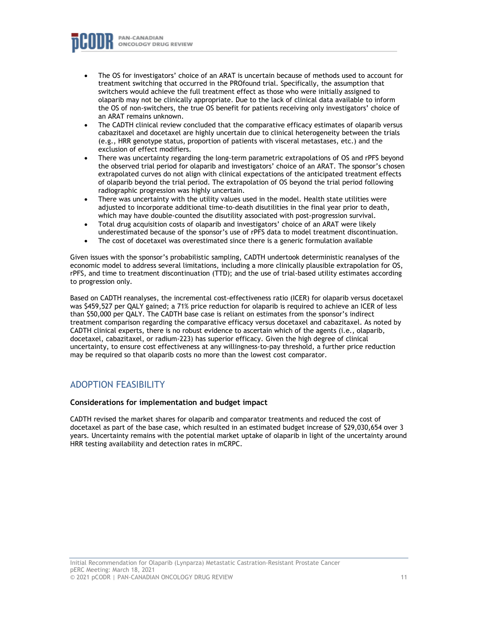

- The OS for investigators' choice of an ARAT is uncertain because of methods used to account for treatment switching that occurred in the PROfound trial. Specifically, the assumption that switchers would achieve the full treatment effect as those who were initially assigned to olaparib may not be clinically appropriate. Due to the lack of clinical data available to inform the OS of non-switchers, the true OS benefit for patients receiving only investigators' choice of an ARAT remains unknown.
- The CADTH clinical review concluded that the comparative efficacy estimates of olaparib versus cabazitaxel and docetaxel are highly uncertain due to clinical heterogeneity between the trials (e.g., HRR genotype status, proportion of patients with visceral metastases, etc.) and the exclusion of effect modifiers.
- There was uncertainty regarding the long-term parametric extrapolations of OS and rPFS beyond the observed trial period for olaparib and investigators' choice of an ARAT. The sponsor's chosen extrapolated curves do not align with clinical expectations of the anticipated treatment effects of olaparib beyond the trial period. The extrapolation of OS beyond the trial period following radiographic progression was highly uncertain.
- There was uncertainty with the utility values used in the model. Health state utilities were adjusted to incorporate additional time-to-death disutilities in the final year prior to death, which may have double-counted the disutility associated with post-progression survival.
- Total drug acquisition costs of olaparib and investigators' choice of an ARAT were likely underestimated because of the sponsor's use of rPFS data to model treatment discontinuation.
- The cost of docetaxel was overestimated since there is a generic formulation available

Given issues with the sponsor's probabilistic sampling, CADTH undertook deterministic reanalyses of the economic model to address several limitations, including a more clinically plausible extrapolation for OS, rPFS, and time to treatment discontinuation (TTD); and the use of trial-based utility estimates according to progression only.

Based on CADTH reanalyses, the incremental cost-effectiveness ratio (ICER) for olaparib versus docetaxel was \$459,527 per QALY gained; a 71% price reduction for olaparib is required to achieve an ICER of less than \$50,000 per QALY. The CADTH base case is reliant on estimates from the sponsor's indirect treatment comparison regarding the comparative efficacy versus docetaxel and cabazitaxel. As noted by CADTH clinical experts, there is no robust evidence to ascertain which of the agents (i.e., olaparib, docetaxel, cabazitaxel, or radium-223) has superior efficacy. Given the high degree of clinical uncertainty, to ensure cost effectiveness at any willingness-to-pay threshold, a further price reduction may be required so that olaparib costs no more than the lowest cost comparator.

# ADOPTION FEASIBILITY

## **Considerations for implementation and budget impact**

CADTH revised the market shares for olaparib and comparator treatments and reduced the cost of docetaxel as part of the base case, which resulted in an estimated budget increase of \$29,030,654 over 3 years. Uncertainty remains with the potential market uptake of olaparib in light of the uncertainty around HRR testing availability and detection rates in mCRPC.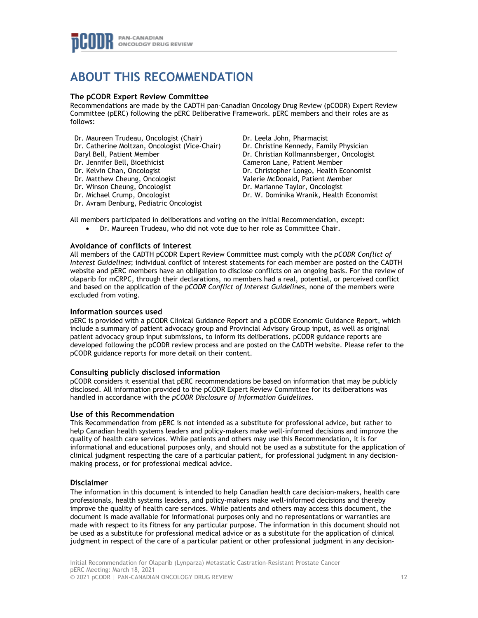

# **ABOUT THIS RECOMMENDATION**

## **The pCODR Expert Review Committee**

Recommendations are made by the CADTH pan-Canadian Oncology Drug Review (pCODR) Expert Review Committee (pERC) following the pERC Deliberative Framework. pERC members and their roles are as follows:

- Dr. Maureen Trudeau, Oncologist (Chair) Dr. Catherine Moltzan, Oncologist (Vice-Chair) Daryl Bell, Patient Member Dr. Jennifer Bell, Bioethicist Dr. Kelvin Chan, Oncologist Dr. Matthew Cheung, Oncologist Dr. Winson Cheung, Oncologist Dr. Michael Crump, Oncologist Dr. Avram Denburg, Pediatric Oncologist Dr. Leela John, Pharmacist Dr. Christine Kennedy, Family Physician Dr. Christian Kollmannsberger, Oncologist Cameron Lane, Patient Member Dr. Christopher Longo, Health Economist Valerie McDonald, Patient Member Dr. Marianne Taylor, Oncologist Dr. W. Dominika Wranik, Health Economist
- All members participated in deliberations and voting on the Initial Recommendation, except:
	- Dr. Maureen Trudeau, who did not vote due to her role as Committee Chair.

# **Avoidance of conflicts of interest**

All members of the CADTH pCODR Expert Review Committee must comply with the *pCODR Conflict of Interest Guidelines*; individual conflict of interest statements for each member are posted on the CADTH website and pERC members have an obligation to disclose conflicts on an ongoing basis. For the review of olaparib for mCRPC, through their declarations, no members had a real, potential, or perceived conflict and based on the application of the *pCODR Conflict of Interest Guidelines*, none of the members were excluded from voting.

### **Information sources used**

pERC is provided with a pCODR Clinical Guidance Report and a pCODR Economic Guidance Report, which include a summary of patient advocacy group and Provincial Advisory Group input, as well as original patient advocacy group input submissions, to inform its deliberations. pCODR guidance reports are developed following the pCODR review process and are posted on the CADTH website. Please refer to the pCODR guidance reports for more detail on their content.

### **Consulting publicly disclosed information**

pCODR considers it essential that pERC recommendations be based on information that may be publicly disclosed. All information provided to the pCODR Expert Review Committee for its deliberations was handled in accordance with the *pCODR Disclosure of Information Guidelines*.

### **Use of this Recommendation**

This Recommendation from pERC is not intended as a substitute for professional advice, but rather to help Canadian health systems leaders and policy-makers make well-informed decisions and improve the quality of health care services. While patients and others may use this Recommendation, it is for informational and educational purposes only, and should not be used as a substitute for the application of clinical judgment respecting the care of a particular patient, for professional judgment in any decisionmaking process, or for professional medical advice.

### **Disclaimer**

The information in this document is intended to help Canadian health care decision-makers, health care professionals, health systems leaders, and policy-makers make well-informed decisions and thereby improve the quality of health care services. While patients and others may access this document, the document is made available for informational purposes only and no representations or warranties are made with respect to its fitness for any particular purpose. The information in this document should not be used as a substitute for professional medical advice or as a substitute for the application of clinical judgment in respect of the care of a particular patient or other professional judgment in any decision-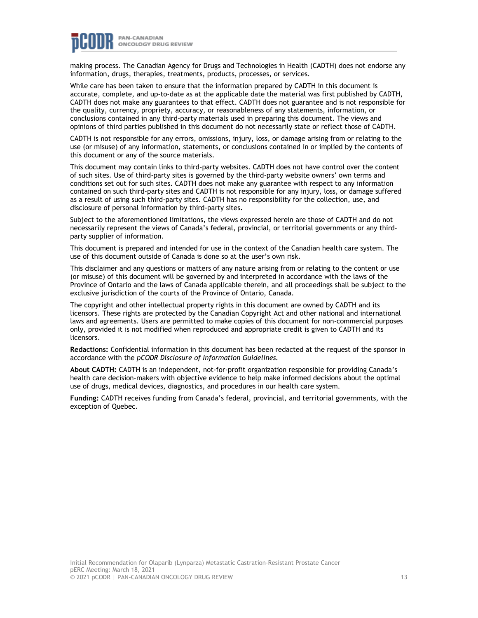

making process. The Canadian Agency for Drugs and Technologies in Health (CADTH) does not endorse any information, drugs, therapies, treatments, products, processes, or services.

While care has been taken to ensure that the information prepared by CADTH in this document is accurate, complete, and up-to-date as at the applicable date the material was first published by CADTH, CADTH does not make any guarantees to that effect. CADTH does not guarantee and is not responsible for the quality, currency, propriety, accuracy, or reasonableness of any statements, information, or conclusions contained in any third-party materials used in preparing this document. The views and opinions of third parties published in this document do not necessarily state or reflect those of CADTH.

CADTH is not responsible for any errors, omissions, injury, loss, or damage arising from or relating to the use (or misuse) of any information, statements, or conclusions contained in or implied by the contents of this document or any of the source materials.

This document may contain links to third-party websites. CADTH does not have control over the content of such sites. Use of third-party sites is governed by the third-party website owners' own terms and conditions set out for such sites. CADTH does not make any guarantee with respect to any information contained on such third-party sites and CADTH is not responsible for any injury, loss, or damage suffered as a result of using such third-party sites. CADTH has no responsibility for the collection, use, and disclosure of personal information by third-party sites.

Subject to the aforementioned limitations, the views expressed herein are those of CADTH and do not necessarily represent the views of Canada's federal, provincial, or territorial governments or any thirdparty supplier of information.

This document is prepared and intended for use in the context of the Canadian health care system. The use of this document outside of Canada is done so at the user's own risk.

This disclaimer and any questions or matters of any nature arising from or relating to the content or use (or misuse) of this document will be governed by and interpreted in accordance with the laws of the Province of Ontario and the laws of Canada applicable therein, and all proceedings shall be subject to the exclusive jurisdiction of the courts of the Province of Ontario, Canada.

The copyright and other intellectual property rights in this document are owned by CADTH and its licensors. These rights are protected by the Canadian Copyright Act and other national and international laws and agreements. Users are permitted to make copies of this document for non-commercial purposes only, provided it is not modified when reproduced and appropriate credit is given to CADTH and its licensors.

**Redactions:** Confidential information in this document has been redacted at the request of the sponsor in accordance with the *pCODR Disclosure of Information Guidelines.*

**About CADTH:** CADTH is an independent, not-for-profit organization responsible for providing Canada's health care decision-makers with objective evidence to help make informed decisions about the optimal use of drugs, medical devices, diagnostics, and procedures in our health care system.

**Funding:** CADTH receives funding from Canada's federal, provincial, and territorial governments, with the exception of Quebec.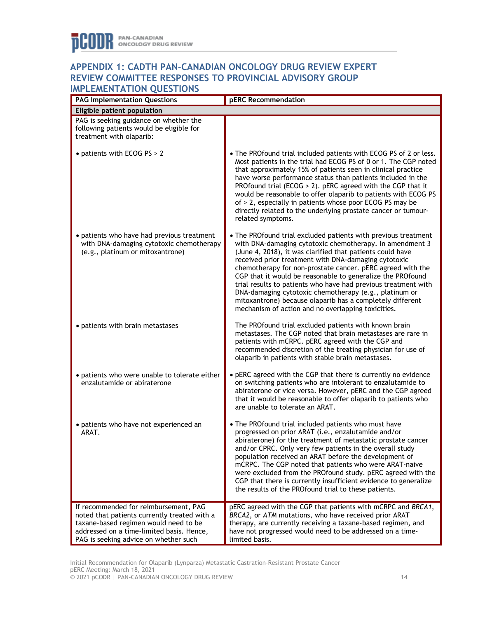# **APPENDIX 1: CADTH PAN-CANADIAN ONCOLOGY DRUG REVIEW EXPERT REVIEW COMMITTEE RESPONSES TO PROVINCIAL ADVISORY GROUP IMPLEMENTATION QUESTIONS**

| """ ==""="" "ATTON QUESTIONS<br><b>PAG Implementation Questions</b>                                                                                                                                                  | <b>pERC</b> Recommendation                                                                                                                                                                                                                                                                                                                                                                                                                                                                                                                                                                                                 |  |  |  |
|----------------------------------------------------------------------------------------------------------------------------------------------------------------------------------------------------------------------|----------------------------------------------------------------------------------------------------------------------------------------------------------------------------------------------------------------------------------------------------------------------------------------------------------------------------------------------------------------------------------------------------------------------------------------------------------------------------------------------------------------------------------------------------------------------------------------------------------------------------|--|--|--|
| Eligible patient population                                                                                                                                                                                          |                                                                                                                                                                                                                                                                                                                                                                                                                                                                                                                                                                                                                            |  |  |  |
| PAG is seeking guidance on whether the<br>following patients would be eligible for<br>treatment with olaparib:                                                                                                       |                                                                                                                                                                                                                                                                                                                                                                                                                                                                                                                                                                                                                            |  |  |  |
| • patients with ECOG PS > 2                                                                                                                                                                                          | • The PROfound trial included patients with ECOG PS of 2 or less.<br>Most patients in the trial had ECOG PS of 0 or 1. The CGP noted<br>that approximately 15% of patients seen in clinical practice<br>have worse performance status than patients included in the<br>PROfound trial (ECOG > 2). pERC agreed with the CGP that it<br>would be reasonable to offer olaparib to patients with ECOG PS<br>of > 2, especially in patients whose poor ECOG PS may be<br>directly related to the underlying prostate cancer or tumour-<br>related symptoms.                                                                     |  |  |  |
| • patients who have had previous treatment<br>with DNA-damaging cytotoxic chemotherapy<br>(e.g., platinum or mitoxantrone)                                                                                           | • The PROfound trial excluded patients with previous treatment<br>with DNA-damaging cytotoxic chemotherapy. In amendment 3<br>(June 4, 2018), it was clarified that patients could have<br>received prior treatment with DNA-damaging cytotoxic<br>chemotherapy for non-prostate cancer. pERC agreed with the<br>CGP that it would be reasonable to generalize the PROfound<br>trial results to patients who have had previous treatment with<br>DNA-damaging cytotoxic chemotherapy (e.g., platinum or<br>mitoxantrone) because olaparib has a completely different<br>mechanism of action and no overlapping toxicities. |  |  |  |
| • patients with brain metastases                                                                                                                                                                                     | The PROfound trial excluded patients with known brain<br>metastases. The CGP noted that brain metastases are rare in<br>patients with mCRPC. pERC agreed with the CGP and<br>recommended discretion of the treating physician for use of<br>olaparib in patients with stable brain metastases.                                                                                                                                                                                                                                                                                                                             |  |  |  |
| • patients who were unable to tolerate either<br>enzalutamide or abiraterone                                                                                                                                         | • pERC agreed with the CGP that there is currently no evidence<br>on switching patients who are intolerant to enzalutamide to<br>abiraterone or vice versa. However, pERC and the CGP agreed<br>that it would be reasonable to offer olaparib to patients who<br>are unable to tolerate an ARAT.                                                                                                                                                                                                                                                                                                                           |  |  |  |
| • patients who have not experienced an<br>ARAT.                                                                                                                                                                      | • The PROfound trial included patients who must have<br>progressed on prior ARAT (i.e., enzalutamide and/or<br>abiraterone) for the treatment of metastatic prostate cancer<br>and/or CPRC. Only very few patients in the overall study<br>population received an ARAT before the development of<br>mCRPC. The CGP noted that patients who were ARAT-naive<br>were excluded from the PROfound study. pERC agreed with the<br>CGP that there is currently insufficient evidence to generalize<br>the results of the PROfound trial to these patients.                                                                       |  |  |  |
| If recommended for reimbursement, PAG<br>noted that patients currently treated with a<br>taxane-based regimen would need to be<br>addressed on a time-limited basis. Hence,<br>PAG is seeking advice on whether such | pERC agreed with the CGP that patients with mCRPC and BRCA1,<br>BRCA2, or ATM mutations, who have received prior ARAT<br>therapy, are currently receiving a taxane-based regimen, and<br>have not progressed would need to be addressed on a time-<br>limited basis.                                                                                                                                                                                                                                                                                                                                                       |  |  |  |

Initial Recommendation for Olaparib (Lynparza) Metastatic Castration-Resistant Prostate Cancer pERC Meeting: March 18, 2021 © 2021 pCODR | PAN-CANADIAN ONCOLOGY DRUG REVIEW 14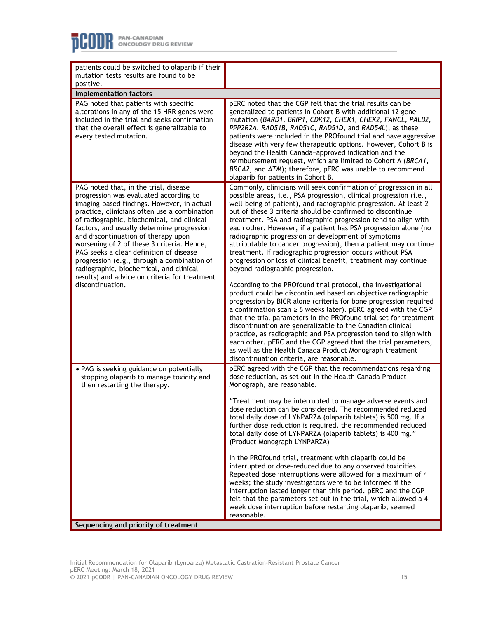| patients could be switched to olaparib if their<br>mutation tests results are found to be<br>positive.                                                                                                                                                                                                                                                                                                                                                                                                                                                                   |                                                                                                                                                                                                                                                                                                                                                                                                                                                                                                                                                                                                                                                                                                                                                                                                                                                                                                                                                                                                                                                                                                                                                                                                                                                                                                                                  |  |  |  |
|--------------------------------------------------------------------------------------------------------------------------------------------------------------------------------------------------------------------------------------------------------------------------------------------------------------------------------------------------------------------------------------------------------------------------------------------------------------------------------------------------------------------------------------------------------------------------|----------------------------------------------------------------------------------------------------------------------------------------------------------------------------------------------------------------------------------------------------------------------------------------------------------------------------------------------------------------------------------------------------------------------------------------------------------------------------------------------------------------------------------------------------------------------------------------------------------------------------------------------------------------------------------------------------------------------------------------------------------------------------------------------------------------------------------------------------------------------------------------------------------------------------------------------------------------------------------------------------------------------------------------------------------------------------------------------------------------------------------------------------------------------------------------------------------------------------------------------------------------------------------------------------------------------------------|--|--|--|
| <b>Implementation factors</b>                                                                                                                                                                                                                                                                                                                                                                                                                                                                                                                                            |                                                                                                                                                                                                                                                                                                                                                                                                                                                                                                                                                                                                                                                                                                                                                                                                                                                                                                                                                                                                                                                                                                                                                                                                                                                                                                                                  |  |  |  |
| PAG noted that patients with specific<br>alterations in any of the 15 HRR genes were<br>included in the trial and seeks confirmation<br>that the overall effect is generalizable to<br>every tested mutation.                                                                                                                                                                                                                                                                                                                                                            | pERC noted that the CGP felt that the trial results can be<br>generalized to patients in Cohort B with additional 12 gene<br>mutation (BARD1, BRIP1, CDK12, CHEK1, CHEK2, FANCL, PALB2,<br>PPP2R2A, RAD51B, RAD51C, RAD51D, and RAD54L), as these<br>patients were included in the PROfound trial and have aggressive<br>disease with very few therapeutic options. However, Cohort B is<br>beyond the Health Canada-approved indication and the<br>reimbursement request, which are limited to Cohort A (BRCA1,<br>BRCA2, and ATM); therefore, pERC was unable to recommend<br>olaparib for patients in Cohort B.                                                                                                                                                                                                                                                                                                                                                                                                                                                                                                                                                                                                                                                                                                               |  |  |  |
| PAG noted that, in the trial, disease<br>progression was evaluated according to<br>imaging-based findings. However, in actual<br>practice, clinicians often use a combination<br>of radiographic, biochemical, and clinical<br>factors, and usually determine progression<br>and discontinuation of therapy upon<br>worsening of 2 of these 3 criteria. Hence,<br>PAG seeks a clear definition of disease<br>progression (e.g., through a combination of<br>radiographic, biochemical, and clinical<br>results) and advice on criteria for treatment<br>discontinuation. | Commonly, clinicians will seek confirmation of progression in all<br>possible areas, i.e., PSA progression, clinical progression (i.e.,<br>well-being of patient), and radiographic progression. At least 2<br>out of these 3 criteria should be confirmed to discontinue<br>treatment. PSA and radiographic progression tend to align with<br>each other. However, if a patient has PSA progression alone (no<br>radiographic progression or development of symptoms<br>attributable to cancer progression), then a patient may continue<br>treatment. If radiographic progression occurs without PSA<br>progression or loss of clinical benefit, treatment may continue<br>beyond radiographic progression.<br>According to the PROfound trial protocol, the investigational<br>product could be discontinued based on objective radiographic<br>progression by BICR alone (criteria for bone progression required<br>a confirmation scan $\geq 6$ weeks later). pERC agreed with the CGP<br>that the trial parameters in the PROfound trial set for treatment<br>discontinuation are generalizable to the Canadian clinical<br>practice, as radiographic and PSA progression tend to align with<br>each other. pERC and the CGP agreed that the trial parameters,<br>as well as the Health Canada Product Monograph treatment |  |  |  |
| • PAG is seeking guidance on potentially<br>stopping olaparib to manage toxicity and<br>then restarting the therapy.                                                                                                                                                                                                                                                                                                                                                                                                                                                     | discontinuation criteria, are reasonable.<br>pERC agreed with the CGP that the recommendations regarding<br>dose reduction, as set out in the Health Canada Product<br>Monograph, are reasonable.<br>"Treatment may be interrupted to manage adverse events and<br>dose reduction can be considered. The recommended reduced<br>total daily dose of LYNPARZA (olaparib tablets) is 500 mg. If a<br>further dose reduction is required, the recommended reduced<br>total daily dose of LYNPARZA (olaparib tablets) is 400 mg."<br>(Product Monograph LYNPARZA)<br>In the PROfound trial, treatment with olaparib could be<br>interrupted or dose-reduced due to any observed toxicities.<br>Repeated dose interruptions were allowed for a maximum of 4<br>weeks; the study investigators were to be informed if the<br>interruption lasted longer than this period. pERC and the CGP                                                                                                                                                                                                                                                                                                                                                                                                                                             |  |  |  |
| Sequencing and priority of treatment                                                                                                                                                                                                                                                                                                                                                                                                                                                                                                                                     | felt that the parameters set out in the trial, which allowed a 4-<br>week dose interruption before restarting olaparib, seemed<br>reasonable.                                                                                                                                                                                                                                                                                                                                                                                                                                                                                                                                                                                                                                                                                                                                                                                                                                                                                                                                                                                                                                                                                                                                                                                    |  |  |  |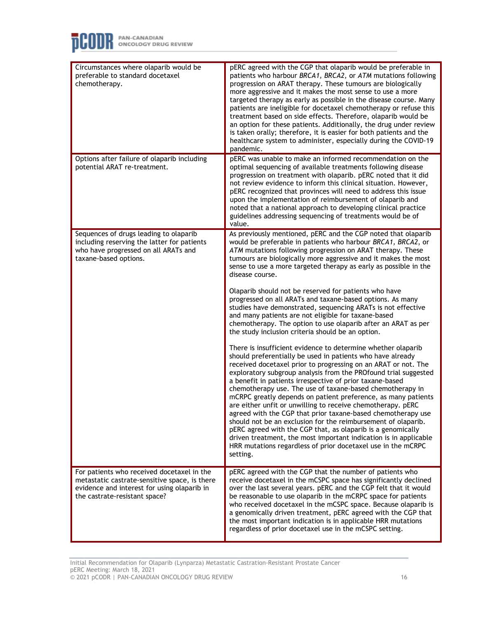

| Circumstances where olaparib would be<br>preferable to standard docetaxel<br>chemotherapy.                                                                                  | pERC agreed with the CGP that olaparib would be preferable in<br>patients who harbour BRCA1, BRCA2, or ATM mutations following<br>progression on ARAT therapy. These tumours are biologically<br>more aggressive and it makes the most sense to use a more<br>targeted therapy as early as possible in the disease course. Many<br>patients are ineligible for docetaxel chemotherapy or refuse this<br>treatment based on side effects. Therefore, olaparib would be<br>an option for these patients. Additionally, the drug under review<br>is taken orally; therefore, it is easier for both patients and the<br>healthcare system to administer, especially during the COVID-19<br>pandemic.                                                                                                                                                                                                                                                                                                                                                                                                                                                                                                                                                                                                                                                                                                                                                                                                                                                                                                    |
|-----------------------------------------------------------------------------------------------------------------------------------------------------------------------------|-----------------------------------------------------------------------------------------------------------------------------------------------------------------------------------------------------------------------------------------------------------------------------------------------------------------------------------------------------------------------------------------------------------------------------------------------------------------------------------------------------------------------------------------------------------------------------------------------------------------------------------------------------------------------------------------------------------------------------------------------------------------------------------------------------------------------------------------------------------------------------------------------------------------------------------------------------------------------------------------------------------------------------------------------------------------------------------------------------------------------------------------------------------------------------------------------------------------------------------------------------------------------------------------------------------------------------------------------------------------------------------------------------------------------------------------------------------------------------------------------------------------------------------------------------------------------------------------------------|
| Options after failure of olaparib including<br>potential ARAT re-treatment.                                                                                                 | pERC was unable to make an informed recommendation on the<br>optimal sequencing of available treatments following disease<br>progression on treatment with olaparib. pERC noted that it did<br>not review evidence to inform this clinical situation. However,<br>pERC recognized that provinces will need to address this issue<br>upon the implementation of reimbursement of olaparib and<br>noted that a national approach to developing clinical practice<br>guidelines addressing sequencing of treatments would be of<br>value.                                                                                                                                                                                                                                                                                                                                                                                                                                                                                                                                                                                                                                                                                                                                                                                                                                                                                                                                                                                                                                                              |
| Sequences of drugs leading to olaparib<br>including reserving the latter for patients<br>who have progressed on all ARATs and<br>taxane-based options.                      | As previously mentioned, pERC and the CGP noted that olaparib<br>would be preferable in patients who harbour BRCA1, BRCA2, or<br>ATM mutations following progression on ARAT therapy. These<br>tumours are biologically more aggressive and it makes the most<br>sense to use a more targeted therapy as early as possible in the<br>disease course.<br>Olaparib should not be reserved for patients who have<br>progressed on all ARATs and taxane-based options. As many<br>studies have demonstrated, sequencing ARATs is not effective<br>and many patients are not eligible for taxane-based<br>chemotherapy. The option to use olaparib after an ARAT as per<br>the study inclusion criteria should be an option.<br>There is insufficient evidence to determine whether olaparib<br>should preferentially be used in patients who have already<br>received docetaxel prior to progressing on an ARAT or not. The<br>exploratory subgroup analysis from the PROfound trial suggested<br>a benefit in patients irrespective of prior taxane-based<br>chemotherapy use. The use of taxane-based chemotherapy in<br>mCRPC greatly depends on patient preference, as many patients<br>are either unfit or unwilling to receive chemotherapy, pERC<br>agreed with the CGP that prior taxane-based chemotherapy use<br>should not be an exclusion for the reimbursement of olaparib.<br>pERC agreed with the CGP that, as olaparib is a genomically<br>driven treatment, the most important indication is in applicable<br>HRR mutations regardless of prior docetaxel use in the mCRPC<br>setting. |
| For patients who received docetaxel in the<br>metastatic castrate-sensitive space, is there<br>evidence and interest for using olaparib in<br>the castrate-resistant space? | pERC agreed with the CGP that the number of patients who<br>receive docetaxel in the mCSPC space has significantly declined<br>over the last several years. pERC and the CGP felt that it would<br>be reasonable to use olaparib in the mCRPC space for patients<br>who received docetaxel in the mCSPC space. Because olaparib is<br>a genomically driven treatment, pERC agreed with the CGP that<br>the most important indication is in applicable HRR mutations<br>regardless of prior docetaxel use in the mCSPC setting.                                                                                                                                                                                                                                                                                                                                                                                                                                                                                                                                                                                                                                                                                                                                                                                                                                                                                                                                                                                                                                                                      |

Initial Recommendation for Olaparib (Lynparza) Metastatic Castration-Resistant Prostate Cancer pERC Meeting: March 18, 2021 © 2021 pCODR | PAN-CANADIAN ONCOLOGY DRUG REVIEW 16